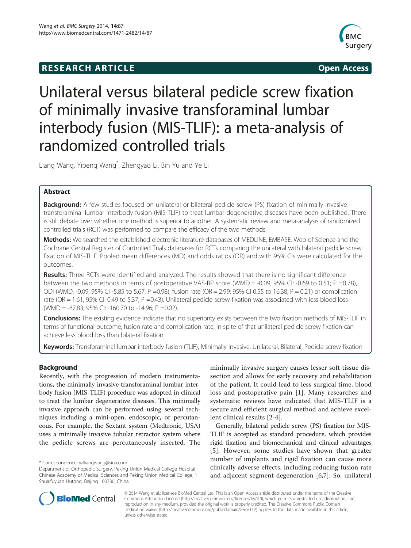## **RESEARCH ARTICLE CONSUMING THE OPEN ACCESS**



# Unilateral versus bilateral pedicle screw fixation of minimally invasive transforaminal lumbar interbody fusion (MIS-TLIF): a meta-analysis of randomized controlled trials

Liang Wang, Yipeng Wang\* , Zhengyao Li, Bin Yu and Ye Li

## Abstract

**Background:** A few studies focused on unilateral or bilateral pedicle screw (PS) fixation of minimally invasive transforaminal lumbar interbody fusion (MIS-TLIF) to treat lumbar degenerative diseases have been published. There is still debate over whether one method is superior to another. A systematic review and meta-analysis of randomized controlled trials (RCT) was performed to compare the efficacy of the two methods.

Methods: We searched the established electronic literature databases of MEDLINE, EMBASE, Web of Science and the Cochrane Central Register of Controlled Trials databases for RCTs comparing the unilateral with bilateral pedicle screw fixation of MIS-TLIF. Pooled mean differences (MD) and odds ratios (OR) and with 95% CIs were calculated for the outcomes.

Results: Three RCTs were identified and analyzed. The results showed that there is no significant difference between the two methods in terms of postoperative VAS-BP score (WMD = -0.09; 95% CI: -0.69 to 0.51; P =0.78), ODI (WMD, -0.09; 95% CI -5.85 to 5.67; P =0.98), fusion rate (OR = 2.99; 95% CI 0.55 to 16.38; P = 0.21) or complication rate (OR = 1.61, 95% CI: 0.49 to 5.37; P = 0.43). Unilateral pedicle screw fixation was associated with less blood loss  $(WMD = -87.83; 95\%$  CI:  $-160.70$  to  $-14.96$ ; P  $=0.02$ ).

Conclusions: The existing evidence indicate that no superiority exists between the two fixation methods of MIS-TLIF in terms of functional outcome, fusion rate and complication rate, in spite of that unilateral pedicle screw fixation can achieve less blood loss than bilateral fixation.

Keywords: Transforaminal lumbar interbody fusion (TLIF), Minimally invasive, Unilateral, Bilateral, Pedicle screw fixation

## Background

Recently, with the progression of modern instrumentations, the minimally invasive transforaminal lumbar interbody fusion (MIS-TLIF) procedure was adopted in clinical to treat the lumbar degenerative diseases. This minimally invasive approach can be performed using several techniques including a mini-open, endoscopic, or percutaneous. For example, the Sextant system (Medtronic, USA) uses a minimally invasive tubular retractor system where the pedicle screws are percutaneously inserted. The

minimally invasive surgery causes lesser soft tissue dissection and allows for early recovery and rehabilitation of the patient. It could lead to less surgical time, blood loss and postoperative pain [[1\]](#page-6-0). Many researches and systematic reviews have indicated that MIS-TLIF is a secure and efficient surgical method and achieve excellent clinical results [[2](#page-6-0)-[4\]](#page-6-0).

Generally, bilateral pedicle screw (PS) fixation for MIS-TLIF is accepted as standard procedure, which provides rigid fixation and biomechanical and clinical advantages [[5](#page-6-0)]. However, some studies have shown that greater number of implants and rigid fixation can cause more clinically adverse effects, including reducing fusion rate and adjacent segment degeneration [[6,7\]](#page-6-0). So, unilateral



© 2014 Wang et al.; licensee BioMed Central Ltd. This is an Open Access article distributed under the terms of the Creative Commons Attribution License [\(http://creativecommons.org/licenses/by/4.0\)](http://creativecommons.org/licenses/by/4.0), which permits unrestricted use, distribution, and reproduction in any medium, provided the original work is properly credited. The Creative Commons Public Domain Dedication waiver [\(http://creativecommons.org/publicdomain/zero/1.0/](http://creativecommons.org/publicdomain/zero/1.0/)) applies to the data made available in this article, unless otherwise stated.

<sup>\*</sup> Correspondence: [wlliangwang@sina.com](mailto:wlliangwang@sina.com)

Department of Orthopedic Surgery, Peking Union Medical College Hospital, Chinese Academy of Medical Sciences and Peking Union Medical College, 1 Shuaifuyuan Hutong, Beijing 100730, China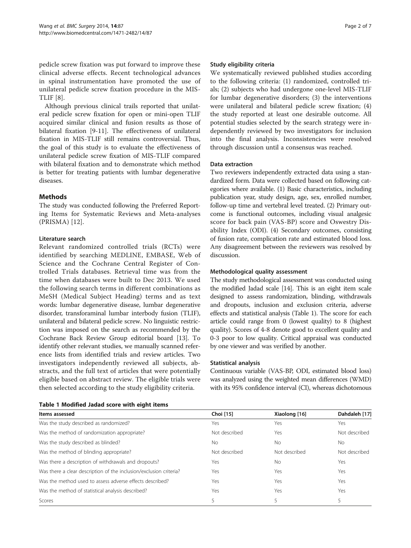<span id="page-1-0"></span>pedicle screw fixation was put forward to improve these clinical adverse effects. Recent technological advances in spinal instrumentation have promoted the use of unilateral pedicle screw fixation procedure in the MIS-TLIF [\[8](#page-6-0)].

Although previous clinical trails reported that unilateral pedicle screw fixation for open or mini-open TLIF acquired similar clinical and fusion results as those of bilateral fixation [[9](#page-6-0)-[11\]](#page-6-0). The effectiveness of unilateral fixation in MIS-TLIF still remains controversial. Thus, the goal of this study is to evaluate the effectiveness of unilateral pedicle screw fixation of MIS-TLIF compared with bilateral fixation and to demonstrate which method is better for treating patients with lumbar degenerative diseases.

### Methods

The study was conducted following the Preferred Reporting Items for Systematic Reviews and Meta-analyses (PRISMA) [\[12](#page-6-0)].

### Literature search

Relevant randomized controlled trials (RCTs) were identified by searching MEDLINE, EMBASE, Web of Science and the Cochrane Central Register of Controlled Trials databases. Retrieval time was from the time when databases were built to Dec 2013. We used the following search terms in different combinations as MeSH (Medical Subject Heading) terms and as text words: lumbar degenerative disease, lumbar degenerative disorder, transforaminal lumbar interbody fusion (TLIF), unilateral and bilateral pedicle screw. No linguistic restriction was imposed on the search as recommended by the Cochrane Back Review Group editorial board [\[13\]](#page-6-0). To identify other relevant studies, we manually scanned reference lists from identified trials and review articles. Two investigators independently reviewed all subjects, abstracts, and the full text of articles that were potentially eligible based on abstract review. The eligible trials were then selected according to the study eligibility criteria.

|  | Table 1 Modified Jadad score with eight items |  |  |  |
|--|-----------------------------------------------|--|--|--|
|  |                                               |  |  |  |

#### Study eligibility criteria

We systematically reviewed published studies according to the following criteria: (1) randomized, controlled trials; (2) subjects who had undergone one-level MIS-TLIF for lumbar degenerative disorders; (3) the interventions were unilateral and bilateral pedicle screw fixation; (4) the study reported at least one desirable outcome. All potential studies selected by the search strategy were independently reviewed by two investigators for inclusion into the final analysis. Inconsistencies were resolved through discussion until a consensus was reached.

#### Data extraction

Two reviewers independently extracted data using a standardized form. Data were collected based on following categories where available. (1) Basic characteristics, including publication year, study design, age, sex, enrolled number, follow-up time and vertebral level treated. (2) Primary outcome is functional outcomes, including visual analgesic score for back pain (VAS-BP) score and Oswestry Disability Index (ODI). (4) Secondary outcomes, consisting of fusion rate, complication rate and estimated blood loss. Any disagreement between the reviewers was resolved by discussion.

## Methodological quality assessment

The study methodological assessment was conducted using the modified Jadad scale [\[14\]](#page-6-0). This is an eight item scale designed to assess randomization, blinding, withdrawals and dropouts, inclusion and exclusion criteria, adverse effects and statistical analysis (Table 1). The score for each article could range from 0 (lowest quality) to 8 (highest quality). Scores of 4-8 denote good to excellent quality and 0-3 poor to low quality. Critical appraisal was conducted by one viewer and was verified by another.

#### Statistical analysis

Continuous variable (VAS-BP, ODI, estimated blood loss) was analyzed using the weighted mean differences (WMD) with its 95% confidence interval (CI), whereas dichotomous

| Items assessed                                                     | Choi [15]     | Xiaolong [16] | Dahdaleh [17] |  |
|--------------------------------------------------------------------|---------------|---------------|---------------|--|
| Was the study described as randomized?                             | Yes           | Yes           | Yes           |  |
| Was the method of randomization appropriate?                       | Not described | Yes           | Not described |  |
| Was the study described as blinded?                                | <b>No</b>     | <b>No</b>     | <b>No</b>     |  |
| Was the method of blinding appropriate?                            | Not described | Not described | Not described |  |
| Was there a description of withdrawals and dropouts?               | Yes           | <b>No</b>     | Yes           |  |
| Was there a clear description of the inclusion/exclusion criteria? | Yes           | Yes           | Yes           |  |
| Was the method used to assess adverse effects described?           | Yes           | Yes           | Yes           |  |
| Was the method of statistical analysis described?                  | Yes           | Yes           | Yes           |  |
| Scores                                                             |               | 5             | 5             |  |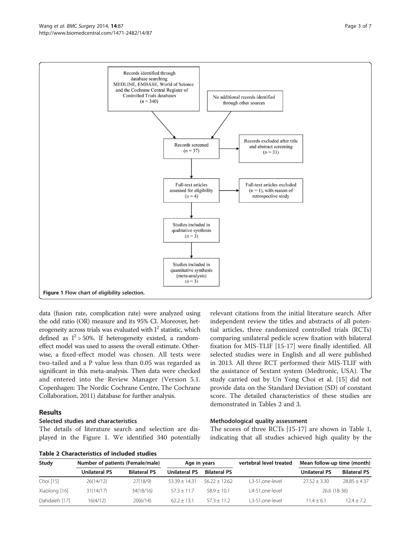

data (fusion rate, complication rate) were analyzed using the odd ratio (OR) measure and its 95% CI. Moreover, heterogeneity across trials was evaluated with  $I<sup>2</sup>$  statistic, which defined as  $I^2 > 50\%$ . If heterogeneity existed, a randomeffect model was used to assess the overall estimate. Otherwise, a fixed-effect model was chosen. All tests were two-tailed and a P value less than 0.05 was regarded as significant in this meta-analysis. Then data were checked and entered into the Review Manager (Version 5.1. Copenhagen: The Nordic Cochrane Centre, The Cochrane Collaboration, 2011) database for further analysis.

## Results

## Selected studies and characteristics

Table 2 Characteristics of included studies

The details of literature search and selection are displayed in the Figure 1. We identified 340 potentially

relevant citations from the initial literature search. After independent review the titles and abstracts of all potential articles, three randomized controlled trials (RCTs) comparing unilateral pedicle screw fixation with bilateral fixation for MIS-TLIF [[15-17](#page-6-0)] were finally identified. All selected studies were in English and all were published in 2013. All three RCT performed their MIS-TLIF with the assistance of Sextant system (Medtronic, USA). The study carried out by Un Yong Choi et al. [\[15](#page-6-0)] did not provide data on the Standard Deviation (SD) of constant score. The detailed characteristics of these studies are demonstrated in Tables 2 and [3](#page-3-0).

## Methodological quality assessment

The scores of three RCTs [\[15](#page-6-0)-[17\]](#page-6-0) are shown in Table [1](#page-1-0), indicating that all studies achieved high quality by the

| Study         | Number of patients (Female/male) |                     | Age in years         |                     | vertebral level treated | Mean follow-up time (month) |                     |
|---------------|----------------------------------|---------------------|----------------------|---------------------|-------------------------|-----------------------------|---------------------|
|               | Unilateral PS                    | <b>Bilateral PS</b> | <b>Unilateral PS</b> | <b>Bilateral PS</b> |                         | <b>Unilateral PS</b>        | <b>Bilateral PS</b> |
| Choi [15]     | 26(14/12)                        | 27(18/9)            | $53.39 + 14.31$      | $56.22 \pm 12.62$   | L3-S1.one-level         | $27.52 \pm 3.30$            | $28.85 \pm 4.37$    |
| Xiaolong [16] | 31(14/17)                        | 34(18/16)           | $57.3 \pm 11.7$      | $58.9 + 10.1$       | L4-S1, one-level        | 26.6 (18-36)                |                     |
| Dahdaleh [17] | 16(4/12)                         | 20(6/14)            | $62.2 + 13.1$        | $57.3 + 11.2$       | L3-S1, one-level        | $11.4 + 6.1$                | 12.4 + 7.2          |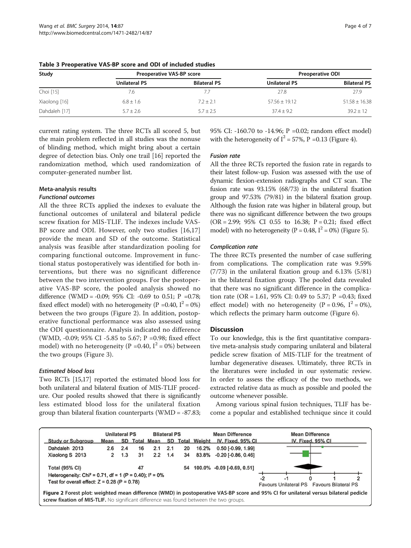| Study         | Preoperative VAS-BP score |                     | <b>Preoperative ODI</b> |                     |  |
|---------------|---------------------------|---------------------|-------------------------|---------------------|--|
|               | Unilateral PS             | <b>Bilateral PS</b> | <b>Unilateral PS</b>    | <b>Bilateral PS</b> |  |
| Choi $[15]$   | 7.6                       | 7.7                 | 27.8                    | 27.9                |  |
| Xiaolong [16] | $6.8 + 1.6$               | $7.2 \pm 2.1$       | $57.56 \pm 19.12$       | $51.58 \pm 16.38$   |  |
| Dahdaleh [17] | $5.7 \pm 2.6$             | $5.7 \pm 2.5$       | $37.4 + 9.2$            | $39.2 \pm 12$       |  |

<span id="page-3-0"></span>Table 3 Preoperative VAS-BP score and ODI of included studies

current rating system. The three RCTs all scored 5, but the main problem reflected in all studies was the nonuse of blinding method, which might bring about a certain degree of detection bias. Only one trail [[16](#page-6-0)] reported the randomization method, which used randomization of computer-generated number list.

### Meta-analysis results

## Functional outcomes

All the three RCTs applied the indexes to evaluate the functional outcomes of unilateral and bilateral pedicle screw fixation for MIS-TLIF. The indexes include VAS-BP score and ODI. However, only two studies [[16,17](#page-6-0)] provide the mean and SD of the outcome. Statistical analysis was feasible after standardization pooling for comparing functional outcome. Improvement in functional status postoperatively was identified for both interventions, but there was no significant difference between the two intervention groups. For the postoperative VAS-BP score, the pooled analysis showed no difference (WMD = -0.09; 95% CI: -0.69 to 0.51; P =0.78; fixed effect model) with no heterogeneity (P =0.40,  $I^2 = 0\%$ ) between the two groups (Figure 2). In addition, postoperative functional performance was also assessed using the ODI questionnaire. Analysis indicated no difference (WMD, -0.09; 95% CI -5.85 to 5.67; P =0.98; fixed effect model) with no heterogeneity (P = 0.40,  $I^2$  = 0%) between the two groups (Figure [3](#page-4-0)).

#### Estimated blood loss

Two RCTs [\[15,17](#page-6-0)] reported the estimated blood loss for both unilateral and bilateral fixation of MIS-TLIF procedure. Our pooled results showed that there is significantly less estimated blood loss for the unilateral fixation group than bilateral fixation counterparts (WMD = -87.83;

95% CI: -160.70 to -14.96; P =0.02; random effect model) with the heterogeneity of  $I^2 = 57\%$ , P = 0.13 (Figure [4\)](#page-4-0).

#### Fusion rate

All the three RCTs reported the fusion rate in regards to their latest follow-up. Fusion was assessed with the use of dynamic flexion-extension radiographs and CT scan. The fusion rate was 93.15% (68/73) in the unilateral fixation group and 97.53% (79/81) in the bilateral fixation group. Although the fusion rate was higher in bilateral group, but there was no significant difference between the two groups  $(OR = 2.99; 95\% \text{ CI } 0.55 \text{ to } 16.38; P = 0.21; \text{ fixed effect}$ model) with no heterogeneity ( $P = 0.48$ ,  $I^2 = 0\%$ ) (Figure [5](#page-5-0)).

#### Complication rate

The three RCTs presented the number of case suffering from complications. The complication rate was 9.59% (7/73) in the unilateral fixation group and 6.13% (5/81) in the bilateral fixation group. The pooled data revealed that there was no significant difference in the complication rate (OR = 1.61, 95% CI: 0.49 to 5.37; P =0.43; fixed effect model) with no heterogeneity  $(P = 0.96, I^2 = 0\%)$ , which reflects the primary harm outcome (Figure [6](#page-5-0)).

## Discussion

To our knowledge, this is the first quantitative comparative meta-analysis study comparing unilateral and bilateral pedicle screw fixation of MIS-TLIF for the treatment of lumbar degenerative diseases. Ultimately, three RCTs in the literatures were included in our systematic review. In order to assess the efficacy of the two methods, we extracted relative data as much as possible and pooled the outcome whenever possible.

Among various spinal fusion techniques, TLIF has become a popular and established technique since it could

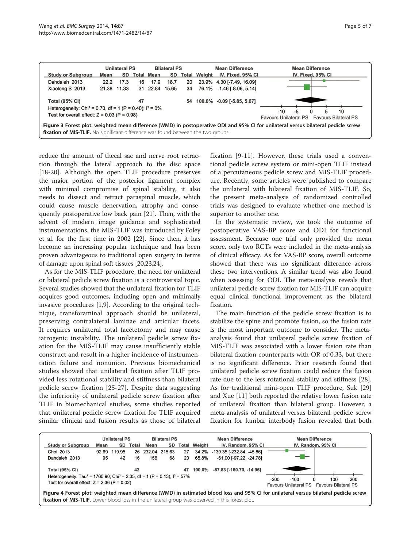<span id="page-4-0"></span>

reduce the amount of thecal sac and nerve root retraction through the lateral approach to the disc space [[18-20](#page-6-0)]. Although the open TLIF procedure preserves the major portion of the posterior ligament complex with minimal compromise of spinal stability, it also needs to dissect and retract paraspinal muscle, which could cause muscle denervation, atrophy and consequently postoperative low back pain [[21](#page-6-0)]. Then, with the advent of modern image guidance and sophisticated instrumentations, the MIS-TLIF was introduced by Foley et al. for the first time in 2002 [[22\]](#page-6-0). Since then, it has become an increasing popular technique and has been proven advantageous to traditional open surgery in terms of damage upon spinal soft tissues [[20,23,24\]](#page-6-0).

As for the MIS-TLIF procedure, the need for unilateral or bilateral pedicle screw fixation is a controversial topic. Several studies showed that the unilateral fixation for TLIF acquires good outcomes, including open and minimally invasive procedures [[1,9](#page-6-0)]. According to the original technique, transforaminal approach should be unilateral, preserving contralateral laminae and articular facets. It requires unilateral total facetetomy and may cause iatrogenic instability. The unilateral pedicle screw fixation for the MIS-TLIF may cause insufficiently stable construct and result in a higher incidence of instrumentation failure and nonunion. Previous biomechanical studies showed that unilateral fixation after TLIF provided less rotational stability and stiffness than bilateral pedicle screw fixation [[25-27](#page-6-0)]. Despite data suggesting the inferiority of unilateral pedicle screw fixation after TLIF in biomechanical studies, some studies reported that unilateral pedicle screw fixation for TLIF acquired similar clinical and fusion results as those of bilateral fixation [[9-11\]](#page-6-0). However, these trials used a conventional pedicle screw system or mini-open TLIF instead of a percutaneous pedicle screw and MIS-TLIF procedure. Recently, some articles were published to compare the unilateral with bilateral fixation of MIS-TLIF. So, the present meta-analysis of randomized controlled trials was designed to evaluate whether one method is superior to another one.

In the systematic review, we took the outcome of postoperative VAS-BP score and ODI for functional assessment. Because one trial only provided the mean score, only two RCTs were included in the meta-analysis of clinical efficacy. As for VAS-BP score, overall outcome showed that there was no significant difference across these two interventions. A similar trend was also found when assessing for ODI. The meta-analysis reveals that unilateral pedicle screw fixation for MIS-TLIF can acquire equal clinical functional improvement as the bilateral fixation.

The main function of the pedicle screw fixation is to stabilize the spine and promote fusion, so the fusion rate is the most important outcome to consider. The metaanalysis found that unilateral pedicle screw fixation of MIS-TLIF was associated with a lower fusion rate than bilateral fixation counterparts with OR of 0.33, but there is no significant difference. Prior research found that unilateral pedicle screw fixation could reduce the fusion rate due to the less rotational stability and stiffness [\[28](#page-6-0)]. As for traditional mini-open TLIF procedure, Suk [[29](#page-6-0)] and Xue [\[11](#page-6-0)] both reported the relative lower fusion rate of unilateral fixation than bilateral group. However, a meta-analysis of unilateral versus bilateral pedicle screw fixation for lumbar interbody fusion revealed that both

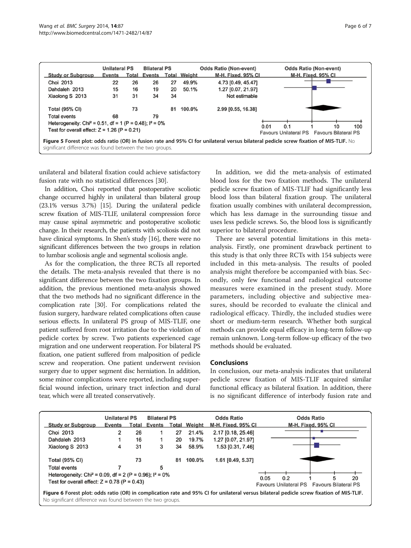<span id="page-5-0"></span>

unilateral and bilateral fixation could achieve satisfactory fusion rate with no statistical differences [[30](#page-6-0)].

In addition, Choi reported that postoperative scoliotic change occurred highly in unilateral than bilateral group (23.1% versus 3.7%) [\[15\]](#page-6-0). During the unilateral pedicle screw fixation of MIS-TLIF, unilateral compression force may cause spinal asymmetric and postoperative scoliotic change. In their research, the patients with scoliosis did not have clinical symptoms. In Shen's study [\[16\]](#page-6-0), there were no significant differences between the two groups in relation to lumbar scoliosis angle and segmental scoliosis angle.

As for the complication, the three RCTs all reported the details. The meta-analysis revealed that there is no significant difference between the two fixation groups. In addition, the previous mentioned meta-analysis showed that the two methods had no significant difference in the complication rate [\[30\]](#page-6-0). For complications related the fusion surgery, hardware related complications often cause serious effects. In unilateral PS group of MIS-TLIF, one patient suffered from root irritation due to the violation of pedicle cortex by screw. Two patients experienced cage migration and one underwent reoperation. For bilateral PS fixation, one patient suffered from malposition of pedicle screw and reoperation. One patient underwent revision surgery due to upper segment disc herniation. In addition, some minor complications were reported, including superficial wound infection, urinary tract infection and dural tear, which were all treated conservatively.

In addition, we did the meta-analysis of estimated blood loss for the two fixation methods. The unilateral pedicle screw fixation of MIS-TLIF had significantly less blood loss than bilateral fixation group. The unilateral fixation usually combines with unilateral decompression, which has less damage in the surrounding tissue and uses less pedicle screws. So, the blood loss is significantly superior to bilateral procedure.

There are several potential limitations in this metaanalysis. Firstly, one prominent drawback pertinent to this study is that only three RCTs with 154 subjects were included in this meta-analysis. The results of pooled analysis might therefore be accompanied with bias. Secondly, only few functional and radiological outcome measures were examined in the present study. More parameters, including objective and subjective measures, should be recorded to evaluate the clinical and radiological efficacy. Thirdly, the included studies were short or medium-term research. Whether both surgical methods can provide equal efficacy in long-term follow-up remain unknown. Long-term follow-up efficacy of the two methods should be evaluated.

#### Conclusions

In conclusion, our meta-analysis indicates that unilateral pedicle screw fixation of MIS-TLIF acquired similar functional efficacy as bilateral fixation. In addition, there is no significant difference of interbody fusion rate and